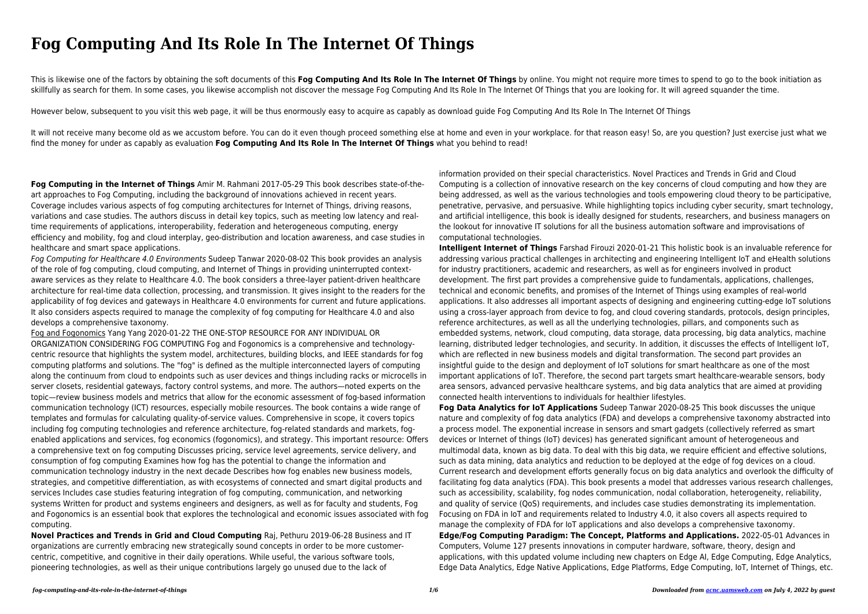This is likewise one of the factors by obtaining the soft documents of this **Fog Computing And Its Role In The Internet Of Things** by online. You might not require more times to spend to go to the book initiation as skillfully as search for them. In some cases, you likewise accomplish not discover the message Fog Computing And Its Role In The Internet Of Things that you are looking for. It will agreed squander the time.

## **Fog Computing And Its Role In The Internet Of Things**

It will not receive many become old as we accustom before. You can do it even though proceed something else at home and even in your workplace. for that reason easy! So, are you question? Just exercise just what we find the money for under as capably as evaluation **Fog Computing And Its Role In The Internet Of Things** what you behind to read!

However below, subsequent to you visit this web page, it will be thus enormously easy to acquire as capably as download guide Fog Computing And Its Role In The Internet Of Things

**Fog Computing in the Internet of Things** Amir M. Rahmani 2017-05-29 This book describes state-of-theart approaches to Fog Computing, including the background of innovations achieved in recent years. Coverage includes various aspects of fog computing architectures for Internet of Things, driving reasons, variations and case studies. The authors discuss in detail key topics, such as meeting low latency and realtime requirements of applications, interoperability, federation and heterogeneous computing, energy efficiency and mobility, fog and cloud interplay, geo-distribution and location awareness, and case studies in healthcare and smart space applications.

Fog Computing for Healthcare 4.0 Environments Sudeep Tanwar 2020-08-02 This book provides an analysis of the role of fog computing, cloud computing, and Internet of Things in providing uninterrupted contextaware services as they relate to Healthcare 4.0. The book considers a three-layer patient-driven healthcare architecture for real-time data collection, processing, and transmission. It gives insight to the readers for the applicability of fog devices and gateways in Healthcare 4.0 environments for current and future applications. It also considers aspects required to manage the complexity of fog computing for Healthcare 4.0 and also develops a comprehensive taxonomy.

Fog and Fogonomics Yang Yang 2020-01-22 THE ONE-STOP RESOURCE FOR ANY INDIVIDUAL OR ORGANIZATION CONSIDERING FOG COMPUTING Fog and Fogonomics is a comprehensive and technologycentric resource that highlights the system model, architectures, building blocks, and IEEE standards for fog computing platforms and solutions. The "fog" is defined as the multiple interconnected layers of computing along the continuum from cloud to endpoints such as user devices and things including racks or microcells in server closets, residential gateways, factory control systems, and more. The authors—noted experts on the topic—review business models and metrics that allow for the economic assessment of fog-based information communication technology (ICT) resources, especially mobile resources. The book contains a wide range of templates and formulas for calculating quality-of-service values. Comprehensive in scope, it covers topics including fog computing technologies and reference architecture, fog-related standards and markets, fogenabled applications and services, fog economics (fogonomics), and strategy. This important resource: Offers a comprehensive text on fog computing Discusses pricing, service level agreements, service delivery, and consumption of fog computing Examines how fog has the potential to change the information and communication technology industry in the next decade Describes how fog enables new business models, strategies, and competitive differentiation, as with ecosystems of connected and smart digital products and services Includes case studies featuring integration of fog computing, communication, and networking systems Written for product and systems engineers and designers, as well as for faculty and students, Fog and Fogonomics is an essential book that explores the technological and economic issues associated with fog computing.

**Novel Practices and Trends in Grid and Cloud Computing** Raj, Pethuru 2019-06-28 Business and IT organizations are currently embracing new strategically sound concepts in order to be more customercentric, competitive, and cognitive in their daily operations. While useful, the various software tools, pioneering technologies, as well as their unique contributions largely go unused due to the lack of

information provided on their special characteristics. Novel Practices and Trends in Grid and Cloud Computing is a collection of innovative research on the key concerns of cloud computing and how they are being addressed, as well as the various technologies and tools empowering cloud theory to be participative, penetrative, pervasive, and persuasive. While highlighting topics including cyber security, smart technology, and artificial intelligence, this book is ideally designed for students, researchers, and business managers on the lookout for innovative IT solutions for all the business automation software and improvisations of computational technologies.

**Intelligent Internet of Things** Farshad Firouzi 2020-01-21 This holistic book is an invaluable reference for addressing various practical challenges in architecting and engineering Intelligent IoT and eHealth solutions for industry practitioners, academic and researchers, as well as for engineers involved in product development. The first part provides a comprehensive guide to fundamentals, applications, challenges, technical and economic benefits, and promises of the Internet of Things using examples of real-world applications. It also addresses all important aspects of designing and engineering cutting-edge IoT solutions using a cross-layer approach from device to fog, and cloud covering standards, protocols, design principles, reference architectures, as well as all the underlying technologies, pillars, and components such as embedded systems, network, cloud computing, data storage, data processing, big data analytics, machine learning, distributed ledger technologies, and security. In addition, it discusses the effects of Intelligent IoT, which are reflected in new business models and digital transformation. The second part provides an insightful guide to the design and deployment of IoT solutions for smart healthcare as one of the most important applications of IoT. Therefore, the second part targets smart healthcare-wearable sensors, body area sensors, advanced pervasive healthcare systems, and big data analytics that are aimed at providing connected health interventions to individuals for healthier lifestyles. **Fog Data Analytics for IoT Applications** Sudeep Tanwar 2020-08-25 This book discusses the unique nature and complexity of fog data analytics (FDA) and develops a comprehensive taxonomy abstracted into a process model. The exponential increase in sensors and smart gadgets (collectively referred as smart devices or Internet of things (IoT) devices) has generated significant amount of heterogeneous and multimodal data, known as big data. To deal with this big data, we require efficient and effective solutions, such as data mining, data analytics and reduction to be deployed at the edge of fog devices on a cloud. Current research and development efforts generally focus on big data analytics and overlook the difficulty of facilitating fog data analytics (FDA). This book presents a model that addresses various research challenges, such as accessibility, scalability, fog nodes communication, nodal collaboration, heterogeneity, reliability, and quality of service (QoS) requirements, and includes case studies demonstrating its implementation. Focusing on FDA in IoT and requirements related to Industry 4.0, it also covers all aspects required to manage the complexity of FDA for IoT applications and also develops a comprehensive taxonomy. **Edge/Fog Computing Paradigm: The Concept, Platforms and Applications.** 2022-05-01 Advances in Computers, Volume 127 presents innovations in computer hardware, software, theory, design and applications, with this updated volume including new chapters on Edge AI, Edge Computing, Edge Analytics, Edge Data Analytics, Edge Native Applications, Edge Platforms, Edge Computing, IoT, Internet of Things, etc.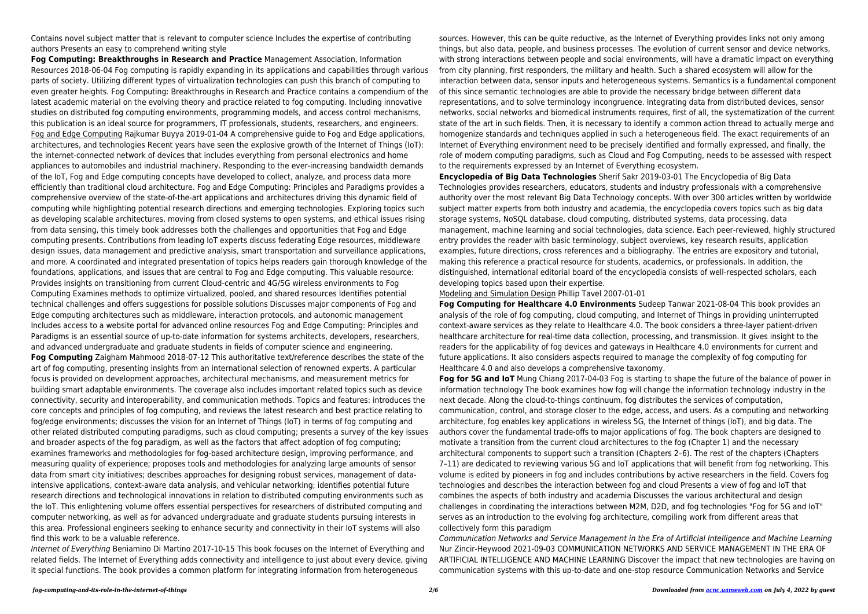Contains novel subject matter that is relevant to computer science Includes the expertise of contributing authors Presents an easy to comprehend writing style

**Fog Computing: Breakthroughs in Research and Practice** Management Association, Information Resources 2018-06-04 Fog computing is rapidly expanding in its applications and capabilities through various parts of society. Utilizing different types of virtualization technologies can push this branch of computing to even greater heights. Fog Computing: Breakthroughs in Research and Practice contains a compendium of the latest academic material on the evolving theory and practice related to fog computing. Including innovative studies on distributed fog computing environments, programming models, and access control mechanisms, this publication is an ideal source for programmers, IT professionals, students, researchers, and engineers. Fog and Edge Computing Rajkumar Buyya 2019-01-04 A comprehensive guide to Fog and Edge applications, architectures, and technologies Recent years have seen the explosive growth of the Internet of Things (IoT): the internet-connected network of devices that includes everything from personal electronics and home appliances to automobiles and industrial machinery. Responding to the ever-increasing bandwidth demands of the IoT, Fog and Edge computing concepts have developed to collect, analyze, and process data more efficiently than traditional cloud architecture. Fog and Edge Computing: Principles and Paradigms provides a comprehensive overview of the state-of-the-art applications and architectures driving this dynamic field of computing while highlighting potential research directions and emerging technologies. Exploring topics such as developing scalable architectures, moving from closed systems to open systems, and ethical issues rising from data sensing, this timely book addresses both the challenges and opportunities that Fog and Edge computing presents. Contributions from leading IoT experts discuss federating Edge resources, middleware design issues, data management and predictive analysis, smart transportation and surveillance applications, and more. A coordinated and integrated presentation of topics helps readers gain thorough knowledge of the foundations, applications, and issues that are central to Fog and Edge computing. This valuable resource: Provides insights on transitioning from current Cloud-centric and 4G/5G wireless environments to Fog Computing Examines methods to optimize virtualized, pooled, and shared resources Identifies potential technical challenges and offers suggestions for possible solutions Discusses major components of Fog and Edge computing architectures such as middleware, interaction protocols, and autonomic management Includes access to a website portal for advanced online resources Fog and Edge Computing: Principles and Paradigms is an essential source of up-to-date information for systems architects, developers, researchers, and advanced undergraduate and graduate students in fields of computer science and engineering. **Fog Computing** Zaigham Mahmood 2018-07-12 This authoritative text/reference describes the state of the art of fog computing, presenting insights from an international selection of renowned experts. A particular focus is provided on development approaches, architectural mechanisms, and measurement metrics for building smart adaptable environments. The coverage also includes important related topics such as device connectivity, security and interoperability, and communication methods. Topics and features: introduces the core concepts and principles of fog computing, and reviews the latest research and best practice relating to fog/edge environments; discusses the vision for an Internet of Things (IoT) in terms of fog computing and other related distributed computing paradigms, such as cloud computing; presents a survey of the key issues and broader aspects of the fog paradigm, as well as the factors that affect adoption of fog computing; examines frameworks and methodologies for fog-based architecture design, improving performance, and measuring quality of experience; proposes tools and methodologies for analyzing large amounts of sensor data from smart city initiatives; describes approaches for designing robust services, management of dataintensive applications, context-aware data analysis, and vehicular networking; identifies potential future research directions and technological innovations in relation to distributed computing environments such as the IoT. This enlightening volume offers essential perspectives for researchers of distributed computing and computer networking, as well as for advanced undergraduate and graduate students pursuing interests in this area. Professional engineers seeking to enhance security and connectivity in their IoT systems will also find this work to be a valuable reference.

Internet of Everything Beniamino Di Martino 2017-10-15 This book focuses on the Internet of Everything and related fields. The Internet of Everything adds connectivity and intelligence to just about every device, giving it special functions. The book provides a common platform for integrating information from heterogeneous

sources. However, this can be quite reductive, as the Internet of Everything provides links not only among things, but also data, people, and business processes. The evolution of current sensor and device networks, with strong interactions between people and social environments, will have a dramatic impact on everything from city planning, first responders, the military and health. Such a shared ecosystem will allow for the interaction between data, sensor inputs and heterogeneous systems. Semantics is a fundamental component of this since semantic technologies are able to provide the necessary bridge between different data representations, and to solve terminology incongruence. Integrating data from distributed devices, sensor networks, social networks and biomedical instruments requires, first of all, the systematization of the current state of the art in such fields. Then, it is necessary to identify a common action thread to actually merge and homogenize standards and techniques applied in such a heterogeneous field. The exact requirements of an Internet of Everything environment need to be precisely identified and formally expressed, and finally, the role of modern computing paradigms, such as Cloud and Fog Computing, needs to be assessed with respect to the requirements expressed by an Internet of Everything ecosystem. **Encyclopedia of Big Data Technologies** Sherif Sakr 2019-03-01 The Encyclopedia of Big Data Technologies provides researchers, educators, students and industry professionals with a comprehensive authority over the most relevant Big Data Technology concepts. With over 300 articles written by worldwide subject matter experts from both industry and academia, the encyclopedia covers topics such as big data storage systems, NoSQL database, cloud computing, distributed systems, data processing, data management, machine learning and social technologies, data science. Each peer-reviewed, highly structured entry provides the reader with basic terminology, subject overviews, key research results, application examples, future directions, cross references and a bibliography. The entries are expository and tutorial, making this reference a practical resource for students, academics, or professionals. In addition, the distinguished, international editorial board of the encyclopedia consists of well-respected scholars, each developing topics based upon their expertise.

Modeling and Simulation Design Phillip Tavel 2007-01-01 **Fog Computing for Healthcare 4.0 Environments** Sudeep Tanwar 2021-08-04 This book provides an analysis of the role of fog computing, cloud computing, and Internet of Things in providing uninterrupted context-aware services as they relate to Healthcare 4.0. The book considers a three-layer patient-driven healthcare architecture for real-time data collection, processing, and transmission. It gives insight to the readers for the applicability of fog devices and gateways in Healthcare 4.0 environments for current and future applications. It also considers aspects required to manage the complexity of fog computing for Healthcare 4.0 and also develops a comprehensive taxonomy. **Fog for 5G and IoT** Mung Chiang 2017-04-03 Fog is starting to shape the future of the balance of power in information technology The book examines how fog will change the information technology industry in the next decade. Along the cloud-to-things continuum, fog distributes the services of computation, communication, control, and storage closer to the edge, access, and users. As a computing and networking architecture, fog enables key applications in wireless 5G, the Internet of things (IoT), and big data. The authors cover the fundamental trade-offs to major applications of fog. The book chapters are designed to motivate a transition from the current cloud architectures to the fog (Chapter 1) and the necessary architectural components to support such a transition (Chapters 2–6). The rest of the chapters (Chapters 7–11) are dedicated to reviewing various 5G and IoT applications that will benefit from fog networking. This volume is edited by pioneers in fog and includes contributions by active researchers in the field. Covers fog technologies and describes the interaction between fog and cloud Presents a view of fog and IoT that combines the aspects of both industry and academia Discusses the various architectural and design challenges in coordinating the interactions between M2M, D2D, and fog technologies "Fog for 5G and IoT" serves as an introduction to the evolving fog architecture, compiling work from different areas that collectively form this paradigm

Communication Networks and Service Management in the Era of Artificial Intelligence and Machine Learning Nur Zincir-Heywood 2021-09-03 COMMUNICATION NETWORKS AND SERVICE MANAGEMENT IN THE ERA OF ARTIFICIAL INTELLIGENCE AND MACHINE LEARNING Discover the impact that new technologies are having on communication systems with this up-to-date and one-stop resource Communication Networks and Service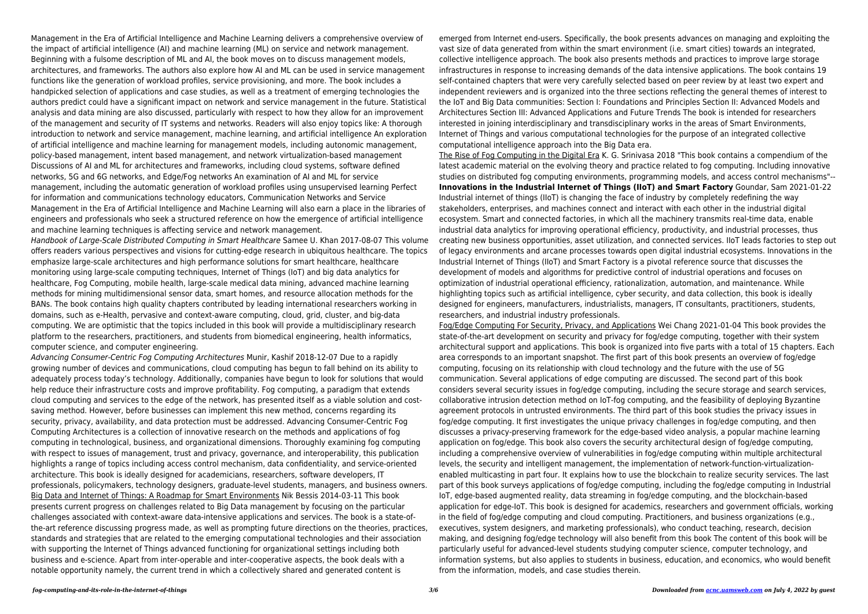Management in the Era of Artificial Intelligence and Machine Learning delivers a comprehensive overview of the impact of artificial intelligence (AI) and machine learning (ML) on service and network management. Beginning with a fulsome description of ML and AI, the book moves on to discuss management models, architectures, and frameworks. The authors also explore how AI and ML can be used in service management functions like the generation of workload profiles, service provisioning, and more. The book includes a handpicked selection of applications and case studies, as well as a treatment of emerging technologies the authors predict could have a significant impact on network and service management in the future. Statistical analysis and data mining are also discussed, particularly with respect to how they allow for an improvement of the management and security of IT systems and networks. Readers will also enjoy topics like: A thorough introduction to network and service management, machine learning, and artificial intelligence An exploration of artificial intelligence and machine learning for management models, including autonomic management, policy-based management, intent based management, and network virtualization-based management Discussions of AI and ML for architectures and frameworks, including cloud systems, software defined networks, 5G and 6G networks, and Edge/Fog networks An examination of AI and ML for service management, including the automatic generation of workload profiles using unsupervised learning Perfect for information and communications technology educators, Communication Networks and Service Management in the Era of Artificial Intelligence and Machine Learning will also earn a place in the libraries of engineers and professionals who seek a structured reference on how the emergence of artificial intelligence and machine learning techniques is affecting service and network management.

Handbook of Large-Scale Distributed Computing in Smart Healthcare Samee U. Khan 2017-08-07 This volume offers readers various perspectives and visions for cutting-edge research in ubiquitous healthcare. The topics emphasize large-scale architectures and high performance solutions for smart healthcare, healthcare monitoring using large-scale computing techniques, Internet of Things (IoT) and big data analytics for healthcare, Fog Computing, mobile health, large-scale medical data mining, advanced machine learning methods for mining multidimensional sensor data, smart homes, and resource allocation methods for the BANs. The book contains high quality chapters contributed by leading international researchers working in domains, such as e-Health, pervasive and context-aware computing, cloud, grid, cluster, and big-data computing. We are optimistic that the topics included in this book will provide a multidisciplinary research platform to the researchers, practitioners, and students from biomedical engineering, health informatics, computer science, and computer engineering.

Advancing Consumer-Centric Fog Computing Architectures Munir, Kashif 2018-12-07 Due to a rapidly growing number of devices and communications, cloud computing has begun to fall behind on its ability to adequately process today's technology. Additionally, companies have begun to look for solutions that would help reduce their infrastructure costs and improve profitability. Fog computing, a paradigm that extends cloud computing and services to the edge of the network, has presented itself as a viable solution and costsaving method. However, before businesses can implement this new method, concerns regarding its security, privacy, availability, and data protection must be addressed. Advancing Consumer-Centric Fog Computing Architectures is a collection of innovative research on the methods and applications of fog computing in technological, business, and organizational dimensions. Thoroughly examining fog computing with respect to issues of management, trust and privacy, governance, and interoperability, this publication highlights a range of topics including access control mechanism, data confidentiality, and service-oriented architecture. This book is ideally designed for academicians, researchers, software developers, IT professionals, policymakers, technology designers, graduate-level students, managers, and business owners. Big Data and Internet of Things: A Roadmap for Smart Environments Nik Bessis 2014-03-11 This book presents current progress on challenges related to Big Data management by focusing on the particular challenges associated with context-aware data-intensive applications and services. The book is a state-ofthe-art reference discussing progress made, as well as prompting future directions on the theories, practices, standards and strategies that are related to the emerging computational technologies and their association with supporting the Internet of Things advanced functioning for organizational settings including both business and e-science. Apart from inter-operable and inter-cooperative aspects, the book deals with a notable opportunity namely, the current trend in which a collectively shared and generated content is

emerged from Internet end-users. Specifically, the book presents advances on managing and exploiting the vast size of data generated from within the smart environment (i.e. smart cities) towards an integrated, collective intelligence approach. The book also presents methods and practices to improve large storage infrastructures in response to increasing demands of the data intensive applications. The book contains 19 self-contained chapters that were very carefully selected based on peer review by at least two expert and independent reviewers and is organized into the three sections reflecting the general themes of interest to the IoT and Big Data communities: Section I: Foundations and Principles Section II: Advanced Models and Architectures Section III: Advanced Applications and Future Trends The book is intended for researchers interested in joining interdisciplinary and transdisciplinary works in the areas of Smart Environments, Internet of Things and various computational technologies for the purpose of an integrated collective computational intelligence approach into the Big Data era. The Rise of Fog Computing in the Digital Era K. G. Srinivasa 2018 "This book contains a compendium of the latest academic material on the evolving theory and practice related to fog computing. Including innovative studies on distributed fog computing environments, programming models, and access control mechanisms"-- **Innovations in the Industrial Internet of Things (IIoT) and Smart Factory** Goundar, Sam 2021-01-22 Industrial internet of things (IIoT) is changing the face of industry by completely redefining the way stakeholders, enterprises, and machines connect and interact with each other in the industrial digital ecosystem. Smart and connected factories, in which all the machinery transmits real-time data, enable industrial data analytics for improving operational efficiency, productivity, and industrial processes, thus creating new business opportunities, asset utilization, and connected services. IIoT leads factories to step out of legacy environments and arcane processes towards open digital industrial ecosystems. Innovations in the Industrial Internet of Things (IIoT) and Smart Factory is a pivotal reference source that discusses the development of models and algorithms for predictive control of industrial operations and focuses on optimization of industrial operational efficiency, rationalization, automation, and maintenance. While highlighting topics such as artificial intelligence, cyber security, and data collection, this book is ideally designed for engineers, manufacturers, industrialists, managers, IT consultants, practitioners, students, researchers, and industrial industry professionals.

Fog/Edge Computing For Security, Privacy, and Applications Wei Chang 2021-01-04 This book provides the state-of-the-art development on security and privacy for fog/edge computing, together with their system architectural support and applications. This book is organized into five parts with a total of 15 chapters. Each area corresponds to an important snapshot. The first part of this book presents an overview of fog/edge computing, focusing on its relationship with cloud technology and the future with the use of 5G communication. Several applications of edge computing are discussed. The second part of this book considers several security issues in fog/edge computing, including the secure storage and search services, collaborative intrusion detection method on IoT-fog computing, and the feasibility of deploying Byzantine agreement protocols in untrusted environments. The third part of this book studies the privacy issues in fog/edge computing. It first investigates the unique privacy challenges in fog/edge computing, and then discusses a privacy-preserving framework for the edge-based video analysis, a popular machine learning application on fog/edge. This book also covers the security architectural design of fog/edge computing, including a comprehensive overview of vulnerabilities in fog/edge computing within multiple architectural levels, the security and intelligent management, the implementation of network-function-virtualizationenabled multicasting in part four. It explains how to use the blockchain to realize security services. The last part of this book surveys applications of fog/edge computing, including the fog/edge computing in Industrial IoT, edge-based augmented reality, data streaming in fog/edge computing, and the blockchain-based application for edge-IoT. This book is designed for academics, researchers and government officials, working in the field of fog/edge computing and cloud computing. Practitioners, and business organizations (e.g., executives, system designers, and marketing professionals), who conduct teaching, research, decision making, and designing fog/edge technology will also benefit from this book The content of this book will be particularly useful for advanced-level students studying computer science, computer technology, and information systems, but also applies to students in business, education, and economics, who would benefit from the information, models, and case studies therein.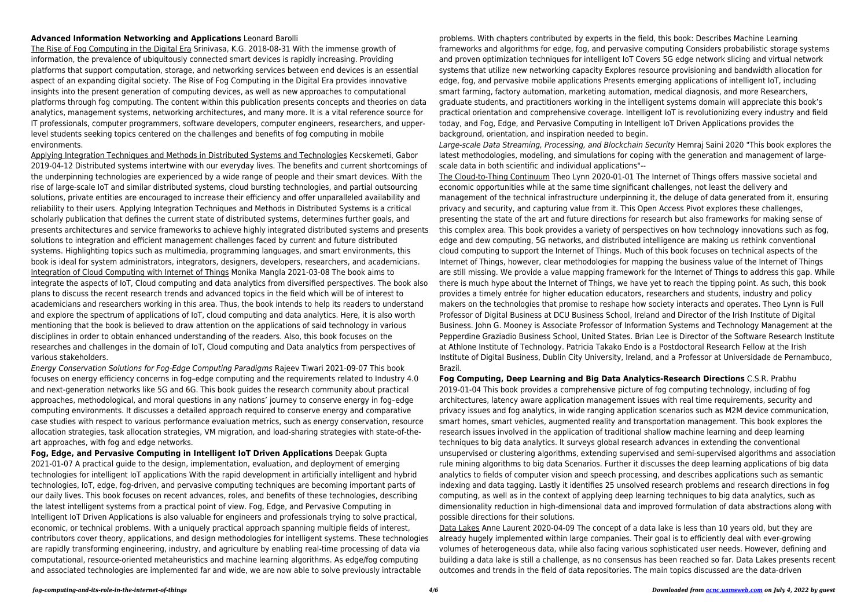## **Advanced Information Networking and Applications** Leonard Barolli

The Rise of Fog Computing in the Digital Era Srinivasa, K.G. 2018-08-31 With the immense growth of information, the prevalence of ubiquitously connected smart devices is rapidly increasing. Providing platforms that support computation, storage, and networking services between end devices is an essential aspect of an expanding digital society. The Rise of Fog Computing in the Digital Era provides innovative insights into the present generation of computing devices, as well as new approaches to computational platforms through fog computing. The content within this publication presents concepts and theories on data analytics, management systems, networking architectures, and many more. It is a vital reference source for IT professionals, computer programmers, software developers, computer engineers, researchers, and upperlevel students seeking topics centered on the challenges and benefits of fog computing in mobile environments.

Applying Integration Techniques and Methods in Distributed Systems and Technologies Kecskemeti, Gabor 2019-04-12 Distributed systems intertwine with our everyday lives. The benefits and current shortcomings of the underpinning technologies are experienced by a wide range of people and their smart devices. With the rise of large-scale IoT and similar distributed systems, cloud bursting technologies, and partial outsourcing solutions, private entities are encouraged to increase their efficiency and offer unparalleled availability and reliability to their users. Applying Integration Techniques and Methods in Distributed Systems is a critical scholarly publication that defines the current state of distributed systems, determines further goals, and presents architectures and service frameworks to achieve highly integrated distributed systems and presents solutions to integration and efficient management challenges faced by current and future distributed systems. Highlighting topics such as multimedia, programming languages, and smart environments, this book is ideal for system administrators, integrators, designers, developers, researchers, and academicians. Integration of Cloud Computing with Internet of Things Monika Mangla 2021-03-08 The book aims to integrate the aspects of IoT, Cloud computing and data analytics from diversified perspectives. The book also plans to discuss the recent research trends and advanced topics in the field which will be of interest to academicians and researchers working in this area. Thus, the book intends to help its readers to understand and explore the spectrum of applications of IoT, cloud computing and data analytics. Here, it is also worth mentioning that the book is believed to draw attention on the applications of said technology in various disciplines in order to obtain enhanced understanding of the readers. Also, this book focuses on the researches and challenges in the domain of IoT, Cloud computing and Data analytics from perspectives of various stakeholders.

Energy Conservation Solutions for Fog-Edge Computing Paradigms Rajeev Tiwari 2021-09-07 This book focuses on energy efficiency concerns in fog–edge computing and the requirements related to Industry 4.0 and next-generation networks like 5G and 6G. This book guides the research community about practical approaches, methodological, and moral questions in any nations' journey to conserve energy in fog–edge computing environments. It discusses a detailed approach required to conserve energy and comparative case studies with respect to various performance evaluation metrics, such as energy conservation, resource allocation strategies, task allocation strategies, VM migration, and load-sharing strategies with state-of-theart approaches, with fog and edge networks.

**Fog, Edge, and Pervasive Computing in Intelligent IoT Driven Applications** Deepak Gupta 2021-01-07 A practical guide to the design, implementation, evaluation, and deployment of emerging technologies for intelligent IoT applications With the rapid development in artificially intelligent and hybrid technologies, IoT, edge, fog-driven, and pervasive computing techniques are becoming important parts of our daily lives. This book focuses on recent advances, roles, and benefits of these technologies, describing the latest intelligent systems from a practical point of view. Fog, Edge, and Pervasive Computing in Intelligent IoT Driven Applications is also valuable for engineers and professionals trying to solve practical, economic, or technical problems. With a uniquely practical approach spanning multiple fields of interest, contributors cover theory, applications, and design methodologies for intelligent systems. These technologies are rapidly transforming engineering, industry, and agriculture by enabling real-time processing of data via computational, resource-oriented metaheuristics and machine learning algorithms. As edge/fog computing and associated technologies are implemented far and wide, we are now able to solve previously intractable

problems. With chapters contributed by experts in the field, this book: Describes Machine Learning frameworks and algorithms for edge, fog, and pervasive computing Considers probabilistic storage systems and proven optimization techniques for intelligent IoT Covers 5G edge network slicing and virtual network systems that utilize new networking capacity Explores resource provisioning and bandwidth allocation for edge, fog, and pervasive mobile applications Presents emerging applications of intelligent IoT, including smart farming, factory automation, marketing automation, medical diagnosis, and more Researchers, graduate students, and practitioners working in the intelligent systems domain will appreciate this book's practical orientation and comprehensive coverage. Intelligent IoT is revolutionizing every industry and field today, and Fog, Edge, and Pervasive Computing in Intelligent IoT Driven Applications provides the background, orientation, and inspiration needed to begin. Large-scale Data Streaming, Processing, and Blockchain Security Hemraj Saini 2020 "This book explores the latest methodologies, modeling, and simulations for coping with the generation and management of largescale data in both scientific and individual applications"-- The Cloud-to-Thing Continuum Theo Lynn 2020-01-01 The Internet of Things offers massive societal and economic opportunities while at the same time significant challenges, not least the delivery and management of the technical infrastructure underpinning it, the deluge of data generated from it, ensuring privacy and security, and capturing value from it. This Open Access Pivot explores these challenges, presenting the state of the art and future directions for research but also frameworks for making sense of this complex area. This book provides a variety of perspectives on how technology innovations such as fog, edge and dew computing, 5G networks, and distributed intelligence are making us rethink conventional cloud computing to support the Internet of Things. Much of this book focuses on technical aspects of the Internet of Things, however, clear methodologies for mapping the business value of the Internet of Things are still missing. We provide a value mapping framework for the Internet of Things to address this gap. While there is much hype about the Internet of Things, we have yet to reach the tipping point. As such, this book provides a timely entrée for higher education educators, researchers and students, industry and policy makers on the technologies that promise to reshape how society interacts and operates. Theo Lynn is Full Professor of Digital Business at DCU Business School, Ireland and Director of the Irish Institute of Digital Business. John G. Mooney is Associate Professor of Information Systems and Technology Management at the Pepperdine Graziadio Business School, United States. Brian Lee is Director of the Software Research Institute at Athlone Institute of Technology. Patricia Takako Endo is a Postdoctoral Research Fellow at the Irish Institute of Digital Business, Dublin City University, Ireland, and a Professor at Universidade de Pernambuco, Brazil.

**Fog Computing, Deep Learning and Big Data Analytics-Research Directions** C.S.R. Prabhu 2019-01-04 This book provides a comprehensive picture of fog computing technology, including of fog architectures, latency aware application management issues with real time requirements, security and privacy issues and fog analytics, in wide ranging application scenarios such as M2M device communication, smart homes, smart vehicles, augmented reality and transportation management. This book explores the research issues involved in the application of traditional shallow machine learning and deep learning techniques to big data analytics. It surveys global research advances in extending the conventional unsupervised or clustering algorithms, extending supervised and semi-supervised algorithms and association rule mining algorithms to big data Scenarios. Further it discusses the deep learning applications of big data analytics to fields of computer vision and speech processing, and describes applications such as semantic indexing and data tagging. Lastly it identifies 25 unsolved research problems and research directions in fog computing, as well as in the context of applying deep learning techniques to big data analytics, such as dimensionality reduction in high-dimensional data and improved formulation of data abstractions along with possible directions for their solutions.

Data Lakes Anne Laurent 2020-04-09 The concept of a data lake is less than 10 years old, but they are already hugely implemented within large companies. Their goal is to efficiently deal with ever-growing volumes of heterogeneous data, while also facing various sophisticated user needs. However, defining and building a data lake is still a challenge, as no consensus has been reached so far. Data Lakes presents recent outcomes and trends in the field of data repositories. The main topics discussed are the data-driven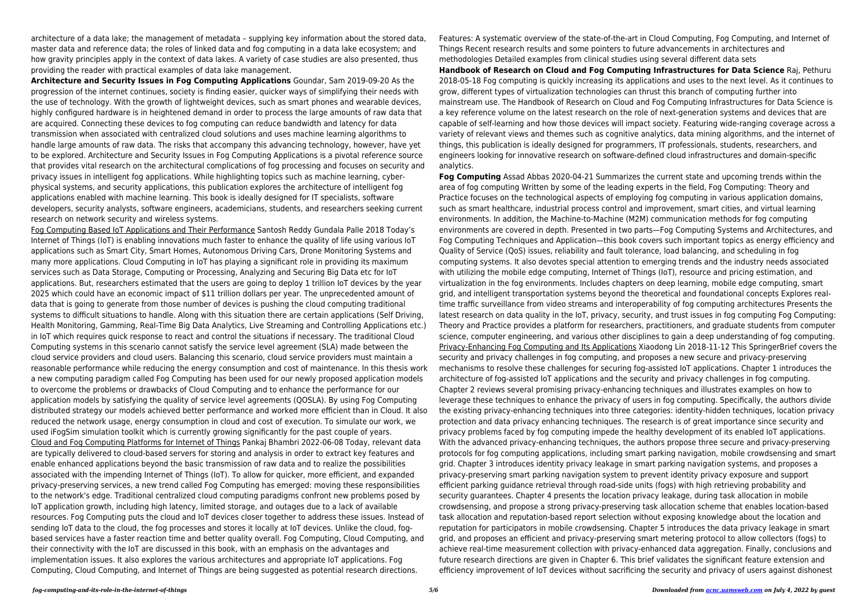architecture of a data lake; the management of metadata – supplying key information about the stored data, master data and reference data; the roles of linked data and fog computing in a data lake ecosystem; and how gravity principles apply in the context of data lakes. A variety of case studies are also presented, thus providing the reader with practical examples of data lake management.

**Architecture and Security Issues in Fog Computing Applications** Goundar, Sam 2019-09-20 As the progression of the internet continues, society is finding easier, quicker ways of simplifying their needs with the use of technology. With the growth of lightweight devices, such as smart phones and wearable devices, highly configured hardware is in heightened demand in order to process the large amounts of raw data that are acquired. Connecting these devices to fog computing can reduce bandwidth and latency for data transmission when associated with centralized cloud solutions and uses machine learning algorithms to handle large amounts of raw data. The risks that accompany this advancing technology, however, have yet to be explored. Architecture and Security Issues in Fog Computing Applications is a pivotal reference source that provides vital research on the architectural complications of fog processing and focuses on security and privacy issues in intelligent fog applications. While highlighting topics such as machine learning, cyberphysical systems, and security applications, this publication explores the architecture of intelligent fog applications enabled with machine learning. This book is ideally designed for IT specialists, software developers, security analysts, software engineers, academicians, students, and researchers seeking current research on network security and wireless systems.

Fog Computing Based IoT Applications and Their Performance Santosh Reddy Gundala Palle 2018 Today's Internet of Things (IoT) is enabling innovations much faster to enhance the quality of life using various IoT applications such as Smart City, Smart Homes, Autonomous Driving Cars, Drone Monitoring Systems and many more applications. Cloud Computing in IoT has playing a significant role in providing its maximum services such as Data Storage, Computing or Processing, Analyzing and Securing Big Data etc for IoT applications. But, researchers estimated that the users are going to deploy 1 trillion IoT devices by the year 2025 which could have an economic impact of \$11 trillion dollars per year. The unprecedented amount of data that is going to generate from those number of devices is pushing the cloud computing traditional systems to difficult situations to handle. Along with this situation there are certain applications (Self Driving, Health Monitoring, Gamming, Real-Time Big Data Analytics, Live Streaming and Controlling Applications etc.) in IoT which requires quick response to react and control the situations if necessary. The traditional Cloud Computing systems in this scenario cannot satisfy the service level agreement (SLA) made between the cloud service providers and cloud users. Balancing this scenario, cloud service providers must maintain a reasonable performance while reducing the energy consumption and cost of maintenance. In this thesis work a new computing paradigm called Fog Computing has been used for our newly proposed application models to overcome the problems or drawbacks of Cloud Computing and to enhance the performance for our application models by satisfying the quality of service level agreements (QOSLA). By using Fog Computing distributed strategy our models achieved better performance and worked more efficient than in Cloud. It also reduced the network usage, energy consumption in cloud and cost of execution. To simulate our work, we used iFogSim simulation toolkit which is currently growing significantly for the past couple of years. Cloud and Fog Computing Platforms for Internet of Things Pankaj Bhambri 2022-06-08 Today, relevant data are typically delivered to cloud-based servers for storing and analysis in order to extract key features and enable enhanced applications beyond the basic transmission of raw data and to realize the possibilities associated with the impending Internet of Things (IoT). To allow for quicker, more efficient, and expanded privacy-preserving services, a new trend called Fog Computing has emerged: moving these responsibilities to the network's edge. Traditional centralized cloud computing paradigms confront new problems posed by IoT application growth, including high latency, limited storage, and outages due to a lack of available resources. Fog Computing puts the cloud and IoT devices closer together to address these issues. Instead of sending IoT data to the cloud, the fog processes and stores it locally at IoT devices. Unlike the cloud, fogbased services have a faster reaction time and better quality overall. Fog Computing, Cloud Computing, and their connectivity with the IoT are discussed in this book, with an emphasis on the advantages and implementation issues. It also explores the various architectures and appropriate IoT applications. Fog Computing, Cloud Computing, and Internet of Things are being suggested as potential research directions.

Features: A systematic overview of the state-of-the-art in Cloud Computing, Fog Computing, and Internet of Things Recent research results and some pointers to future advancements in architectures and methodologies Detailed examples from clinical studies using several different data sets **Handbook of Research on Cloud and Fog Computing Infrastructures for Data Science** Raj, Pethuru 2018-05-18 Fog computing is quickly increasing its applications and uses to the next level. As it continues to grow, different types of virtualization technologies can thrust this branch of computing further into mainstream use. The Handbook of Research on Cloud and Fog Computing Infrastructures for Data Science is a key reference volume on the latest research on the role of next-generation systems and devices that are capable of self-learning and how those devices will impact society. Featuring wide-ranging coverage across a variety of relevant views and themes such as cognitive analytics, data mining algorithms, and the internet of things, this publication is ideally designed for programmers, IT professionals, students, researchers, and engineers looking for innovative research on software-defined cloud infrastructures and domain-specific analytics.

**Fog Computing** Assad Abbas 2020-04-21 Summarizes the current state and upcoming trends within the area of fog computing Written by some of the leading experts in the field, Fog Computing: Theory and Practice focuses on the technological aspects of employing fog computing in various application domains, such as smart healthcare, industrial process control and improvement, smart cities, and virtual learning environments. In addition, the Machine-to-Machine (M2M) communication methods for fog computing environments are covered in depth. Presented in two parts—Fog Computing Systems and Architectures, and Fog Computing Techniques and Application—this book covers such important topics as energy efficiency and Quality of Service (QoS) issues, reliability and fault tolerance, load balancing, and scheduling in fog computing systems. It also devotes special attention to emerging trends and the industry needs associated with utilizing the mobile edge computing, Internet of Things (IoT), resource and pricing estimation, and virtualization in the fog environments. Includes chapters on deep learning, mobile edge computing, smart grid, and intelligent transportation systems beyond the theoretical and foundational concepts Explores realtime traffic surveillance from video streams and interoperability of fog computing architectures Presents the latest research on data quality in the IoT, privacy, security, and trust issues in fog computing Fog Computing: Theory and Practice provides a platform for researchers, practitioners, and graduate students from computer science, computer engineering, and various other disciplines to gain a deep understanding of fog computing. Privacy-Enhancing Fog Computing and Its Applications Xiaodong Lin 2018-11-12 This SpringerBrief covers the security and privacy challenges in fog computing, and proposes a new secure and privacy-preserving mechanisms to resolve these challenges for securing fog-assisted IoT applications. Chapter 1 introduces the architecture of fog-assisted IoT applications and the security and privacy challenges in fog computing. Chapter 2 reviews several promising privacy-enhancing techniques and illustrates examples on how to leverage these techniques to enhance the privacy of users in fog computing. Specifically, the authors divide the existing privacy-enhancing techniques into three categories: identity-hidden techniques, location privacy protection and data privacy enhancing techniques. The research is of great importance since security and privacy problems faced by fog computing impede the healthy development of its enabled IoT applications. With the advanced privacy-enhancing techniques, the authors propose three secure and privacy-preserving protocols for fog computing applications, including smart parking navigation, mobile crowdsensing and smart grid. Chapter 3 introduces identity privacy leakage in smart parking navigation systems, and proposes a privacy-preserving smart parking navigation system to prevent identity privacy exposure and support efficient parking guidance retrieval through road-side units (fogs) with high retrieving probability and security guarantees. Chapter 4 presents the location privacy leakage, during task allocation in mobile crowdsensing, and propose a strong privacy-preserving task allocation scheme that enables location-based task allocation and reputation-based report selection without exposing knowledge about the location and reputation for participators in mobile crowdsensing. Chapter 5 introduces the data privacy leakage in smart grid, and proposes an efficient and privacy-preserving smart metering protocol to allow collectors (fogs) to achieve real-time measurement collection with privacy-enhanced data aggregation. Finally, conclusions and future research directions are given in Chapter 6. This brief validates the significant feature extension and efficiency improvement of IoT devices without sacrificing the security and privacy of users against dishonest